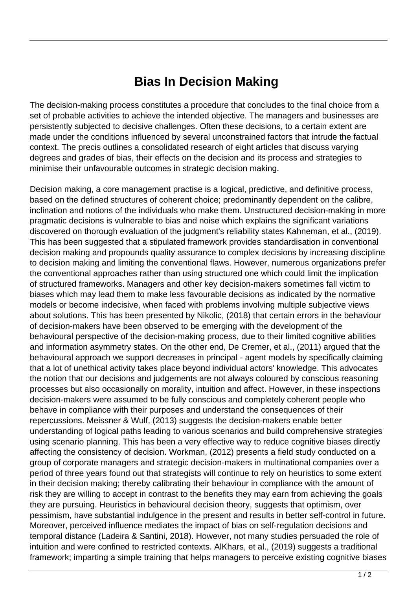## **Bias In Decision Making**

The decision-making process constitutes a procedure that concludes to the final choice from a set of probable activities to achieve the intended objective. The managers and businesses are persistently subjected to decisive challenges. Often these decisions, to a certain extent are made under the conditions influenced by several unconstrained factors that intrude the factual context. The precis outlines a consolidated research of eight articles that discuss varying degrees and grades of bias, their effects on the decision and its process and strategies to minimise their unfavourable outcomes in strategic decision making.

Decision making, a core management practise is a logical, predictive, and definitive process, based on the defined structures of coherent choice; predominantly dependent on the calibre, inclination and notions of the individuals who make them. Unstructured decision-making in more pragmatic decisions is vulnerable to bias and noise which explains the significant variations discovered on thorough evaluation of the judgment's reliability states Kahneman, et al., (2019). This has been suggested that a stipulated framework provides standardisation in conventional decision making and propounds quality assurance to complex decisions by increasing discipline to decision making and limiting the conventional flaws. However, numerous organizations prefer the conventional approaches rather than using structured one which could limit the implication of structured frameworks. Managers and other key decision-makers sometimes fall victim to biases which may lead them to make less favourable decisions as indicated by the normative models or become indecisive, when faced with problems involving multiple subjective views about solutions. This has been presented by Nikolic, (2018) that certain errors in the behaviour of decision-makers have been observed to be emerging with the development of the behavioural perspective of the decision-making process, due to their limited cognitive abilities and information asymmetry states. On the other end, De Cremer, et al., (2011) argued that the behavioural approach we support decreases in principal - agent models by specifically claiming that a lot of unethical activity takes place beyond individual actors' knowledge. This advocates the notion that our decisions and judgements are not always coloured by conscious reasoning processes but also occasionally on morality, intuition and affect. However, in these inspections decision-makers were assumed to be fully conscious and completely coherent people who behave in compliance with their purposes and understand the consequences of their repercussions. Meissner & Wulf, (2013) suggests the decision-makers enable better understanding of logical paths leading to various scenarios and build comprehensive strategies using scenario planning. This has been a very effective way to reduce cognitive biases directly affecting the consistency of decision. Workman, (2012) presents a field study conducted on a group of corporate managers and strategic decision-makers in multinational companies over a period of three years found out that strategists will continue to rely on heuristics to some extent in their decision making; thereby calibrating their behaviour in compliance with the amount of risk they are willing to accept in contrast to the benefits they may earn from achieving the goals they are pursuing. Heuristics in behavioural decision theory, suggests that optimism, over pessimism, have substantial indulgence in the present and results in better self-control in future. Moreover, perceived influence mediates the impact of bias on self-regulation decisions and temporal distance (Ladeira & Santini, 2018). However, not many studies persuaded the role of intuition and were confined to restricted contexts. AlKhars, et al., (2019) suggests a traditional framework; imparting a simple training that helps managers to perceive existing cognitive biases